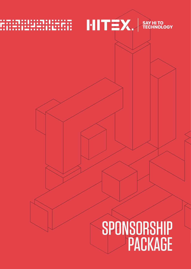# $HITEX.$  SAY HITO

# SPONSORSHIP PACKAGE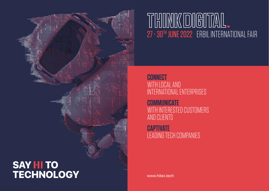www.hitex.tech

# KDIG  $\left\| \frac{U}{\prod_{i=1}^{n}} \right\|$  $||\ln||$ 27 - 30TH JUNE 2022 ERBIL INTERNATIONAL FAIR

# **CONNECT** WITH LOCAL AND INTERNATIONAL ENTERPRISES

**COMMUNICATE** WITH INTERESTED CUSTOMERS AND CLIENTS

**CAPTIVATE** LEADING TECH COMPANIES

DIGITAL AND DIGITAL AND DIGITAL AND DIGITAL AND DIGITAL AND DIGITAL AND DIGITAL AND DIGITAL AND DIGITAL AND DI

# **SAY HI TO<br>TECHNOLOGY**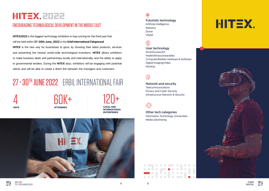



SK **Futuristic technology** Artificial intelligence Robotics Drone

# **AD**

VR/AR

**Network and security Telecommunications** Privacy and Cyber Security

Infrastructure Network & Security

 $\frac{1}{2} \sum_{n=1}^{\infty} \frac{1}{n^2}$ 

#### **Other tech categories** Information Technology Universities

Media advertising



**User technology** Smarthouses/IoT Health/fitness/wearables Computer/Mobile Hardware & Software Digital Imaging/Video Gaming

### Ø

**HITEX2022** is the biggest technology exhibition in Iraq running for the third year that will be held within **27-30th June, 2022** in the **Erbil International Fairground**.

**HITEX** is the new way for businesses to grow, by showing their latest products, services and presenting the newest world-wide technological inventions. **HITEX** allows exhibitors to make business deals and partnerships locally and internationally, and the ability to apply to governmental tenders. During the **HITEX** days, exhibitors will be engaging with potential clients and will be able to create a direct link between the managers and customers.

# 27 - 30TH JUNE 2022 ERBIL INTERNATIONAL FAIR

# HITEX. EDZZ

### ENCOURAGING TECHNOLOGICAL DEVELOPMENT IN THE MIDDLE EAST



LOCAL AND INTERNATIONAL ENTERPRISES



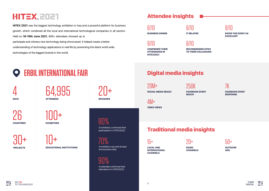SAY **HI** TO TECHNOLOGY

# Attendee insights

# Digital media insights

## Traditional media insights

SOCIAL MEDIA REACH  $20M+$ 

# HITEX.EDET

LOCAL AND INTERNATIONAL **CHANNELS**  $15+$ 

**HITEX 2021** was the biggest technology exhibition in Iraq and a powerful platform for business growth, which combined all the local and international technological companies in all sectors. Held on **16-19th June 2021**, 60K+ attendees showed up to participate and witness new technology being showcased. It helped create a better understanding of technology applications in real life by presenting the latest world wide technologies of the biggest brands in the world.

FACEBOOK EVENT **REACH** 

RADIO **CHANNELS** 

BUSINESS OWNER 6/10

CONFIRMED THEIR ATTENDANCE IN HITEX2021 9/10



VIDEO VIEWS 4M+

IT RELATED 8/10



**THINK**<br>DIGITAL 顯 de la constitución de la constitución de la constitución de la constitución de la constitución de la constituc<br>Digital de la constitución de la constitución de la constitución de la constitución de la constitución de la c

RECOMMENDED HITEX TO THEIR COLLEAGUES 8/10





FACEBOOK EVENT **RESPONSE** 7K



250K

#### of attendee confirmed their attendance in HITEX2022.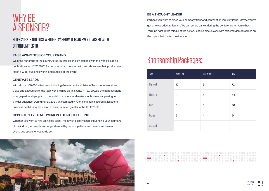



# Sponsorship Packages:

| Type           | Width (m) | Length (m)     | SQM |
|----------------|-----------|----------------|-----|
| <b>Diamond</b> | 12        | 6              | 72  |
| Platinum       | 9         | 6              | 54  |
| Gold           | 6         | 6              | 36  |
| Bronze         | 6         | $\overline{4}$ | 24  |
| Standard       | 3         | 3              | 9   |

. . .



# WHY BE A SPONSOR?

### HITEX 2022 IS NOT JUST A FOUR-DAY SHOW. IT IS AN EVENT PACKED WITH OPPORTUNITIES TO:

#### **RAISE AWARENESS OF YOUR BRAND**

We bring hundreds of the country's top journalists and TV stations with the world's leading publications to HITEX 2022, for our sponsors to interact with and showcase their products to reach a wider audience within and outside of the event.

#### **GENERATE LEADS**

With almost 100,000 attendees, including Government and Private Sector representatives, CEOs and Executives of the tech world joining us this June, HITEX 2022 is the perfect setting to forge partnerships, pitch to potential customers, and make your business appealing to a wider audience. During HITEX 2021, an estimated %70 of exhibitors secured at least one business deal during the event. The aim is much greater with HITEX 2022.

#### **OPPORTUNITY TO NETWORK IN THE RIGHT SETTING**

Whether you want to hire tech's top talent, meet with policymakers influencing your segment of the industry or simply exchange ideas with your competitors and peers - we have an event, and space for you to do so.

#### **BE A THOUGHT LEADER**

Perhaps you want to place your company front and center of an industry issue. Maybe you've got a new product to launch. We can set up panels during the conference for you to host. You'll be right in the middle of the action, leading discussions with targeted demographics on the topics that matter most to you.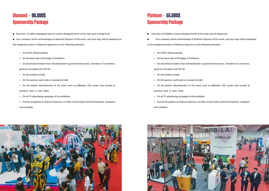



### **Diamond - 90,000\$ Sponsorship Package**

- Area Size: 72 SQM unequipped area for custom designed booth at the main area of fairground.
- Your company will be acknowledge as Diamond Sponsor of the event, and your logo will be displayed on

### **Platinum - 55,000\$ Sponsorship Package**

- Area Size: 54 SQMfor custom designed booth at the main area of fairground.
- 

Your company will be acknowledge as Platinum Sponsor of the event, and your logo will be displayed on the designed location of Platinum Sponsors on the following elements:

the designed location of Diamond Sponsors on the following elements:

- On HITEX official website.
- On the back side of ID badge of Exhibitors.
- On all printed invitation that will distributed to governmental sector, chambers of commerce,

#### general consulates and VIP list.

- On all invitation emails.
- On the sponsor wall inside or outside the halll.
- On all outdoor advertisement of the event such as billboard, LED screen that located at

premium area in main cities.

- On all TV advertising campaign of the exhibition
- Formal recognition as Diamond Sponsor on Hitex social media channel (Facebook, Instagram

and LinkedIn).

- On HITEX official website.
- On the back side of ID badge of Exhibitors.
- On all printed invitation that will distributed to governmental sector, chambers of commerce,

general consulates and VIP list.

- On all invitation emails.
- On the sponsor wall inside or outside the halll.
- On all outdoor advertisement of the event such as billboard, LED screen that located at premium area in main cities.
- On all TV advertising campaign of the exhibition
- Formal recognition as Platinum Sponsor on Hitex social media channel (Facebook, Instagram

and LinkedIn).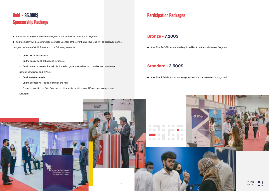

### **Gold - 35,000\$ Sponsorship Package**

- Area Size: 36 SQM for a custom-designed booth at the main area of the fairground.
- Your company will be acknowledge as Gold Sponsor of the event, and your logo will be displayed on the

designed location of Gold Sponsor on the following elements:

- On HITEX official website.
- On the back side of ID badge of Exhibitors.
- On all printed invitation that will distributed to governmental sector, chambers of commerce,

general consulates and VIP list.

- On all invitation emails.
- On the sponsor wall inside or outside the halll.
- Formal recognition as Gold Sponsor on Hitex social media channel (Facebook, Instagram and

#### LinkedIn).

#### Bronze - 7,200\$

■ Area Size: 24 SQM for standard equipped booth at the main area of fairground.

#### Standard - 2,500\$

■ Area Size: 9 SQM for standard equipped booth at the main area of fairground.

### **Participation Packages**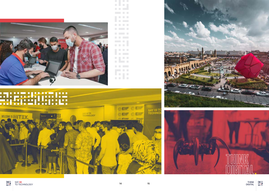

|                             |                | in a                        |                |
|-----------------------------|----------------|-----------------------------|----------------|
|                             | k.             |                             |                |
|                             |                | p.                          | <b>I</b>       |
|                             | <b>C</b>       | $\mathcal{L}_{\mathcal{A}}$ | p.             |
|                             | <b>C</b>       |                             |                |
|                             | <b>C</b>       | p.                          | m              |
|                             |                |                             | in.            |
| $\mathcal{L}_{\mathcal{A}}$ | <b>College</b> |                             | <b>College</b> |
|                             | g.             |                             |                |
|                             |                | g.                          | D              |
|                             | p.             | $\mathbb{R}^n$              |                |
|                             |                |                             |                |
|                             | e.             | p.                          | h.             |
|                             |                |                             |                |
|                             |                | g.                          | <b>College</b> |
|                             |                |                             | <b>College</b> |
|                             | p.             |                             |                |
|                             |                | r.                          | D              |
|                             | I.             |                             | in a           |
| <b>C</b>                    | <b>I</b>       |                             | k.             |
|                             |                |                             |                |